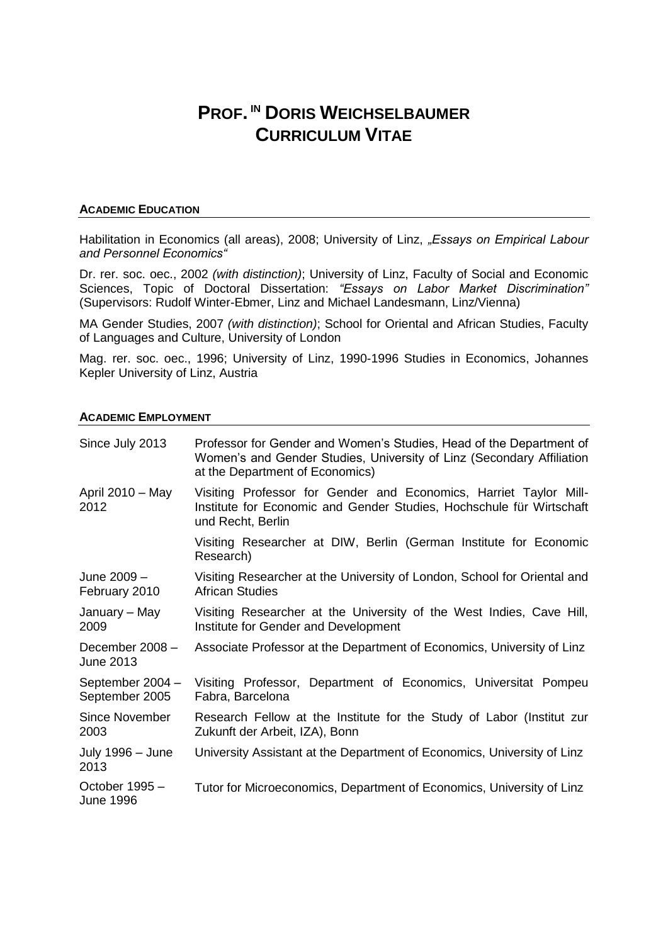# **PROF. IN DORIS WEICHSELBAUMER CURRICULUM VITAE**

## **ACADEMIC EDUCATION**

Habilitation in Economics (all areas), 2008; University of Linz, "Essays on Empirical Labour *and Personnel Economics"*

Dr. rer. soc. oec., 2002 *(with distinction)*; University of Linz, Faculty of Social and Economic Sciences, Topic of Doctoral Dissertation: *"Essays on Labor Market Discrimination"* (Supervisors: Rudolf Winter-Ebmer, Linz and Michael Landesmann, Linz/Vienna)

MA Gender Studies, 2007 *(with distinction)*; School for Oriental and African Studies, Faculty of Languages and Culture, University of London

Mag. rer. soc. oec., 1996; University of Linz, 1990-1996 Studies in Economics, Johannes Kepler University of Linz, Austria

#### **ACADEMIC EMPLOYMENT**

| Since July 2013                    | Professor for Gender and Women's Studies, Head of the Department of<br>Women's and Gender Studies, University of Linz (Secondary Affiliation<br>at the Department of Economics) |
|------------------------------------|---------------------------------------------------------------------------------------------------------------------------------------------------------------------------------|
| April $2010 - May$<br>2012         | Visiting Professor for Gender and Economics, Harriet Taylor Mill-<br>Institute for Economic and Gender Studies, Hochschule für Wirtschaft<br>und Recht, Berlin                  |
|                                    | Visiting Researcher at DIW, Berlin (German Institute for Economic<br>Research)                                                                                                  |
| June 2009 -<br>February 2010       | Visiting Researcher at the University of London, School for Oriental and<br><b>African Studies</b>                                                                              |
| January – May<br>2009              | Visiting Researcher at the University of the West Indies, Cave Hill,<br>Institute for Gender and Development                                                                    |
| December 2008 -<br>June 2013       | Associate Professor at the Department of Economics, University of Linz                                                                                                          |
| September 2004 -<br>September 2005 | Visiting Professor, Department of Economics, Universitat Pompeu<br>Fabra, Barcelona                                                                                             |
| Since November<br>2003             | Research Fellow at the Institute for the Study of Labor (Institut zur<br>Zukunft der Arbeit, IZA), Bonn                                                                         |
| July 1996 - June<br>2013           | University Assistant at the Department of Economics, University of Linz                                                                                                         |
| October 1995 -<br><b>June 1996</b> | Tutor for Microeconomics, Department of Economics, University of Linz                                                                                                           |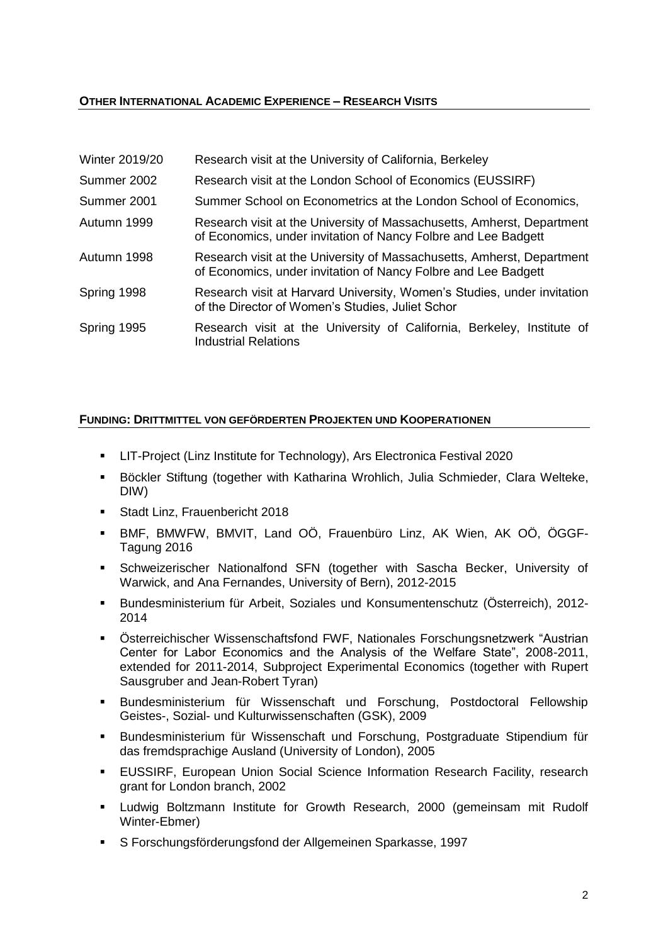# **OTHER INTERNATIONAL ACADEMIC EXPERIENCE – RESEARCH VISITS**

| <b>Winter 2019/20</b> | Research visit at the University of California, Berkeley                                                                                 |
|-----------------------|------------------------------------------------------------------------------------------------------------------------------------------|
| Summer 2002           | Research visit at the London School of Economics (EUSSIRF)                                                                               |
| Summer 2001           | Summer School on Econometrics at the London School of Economics,                                                                         |
| Autumn 1999           | Research visit at the University of Massachusetts, Amherst, Department<br>of Economics, under invitation of Nancy Folbre and Lee Badgett |
| Autumn 1998           | Research visit at the University of Massachusetts, Amherst, Department<br>of Economics, under invitation of Nancy Folbre and Lee Badgett |
| Spring 1998           | Research visit at Harvard University, Women's Studies, under invitation<br>of the Director of Women's Studies, Juliet Schor              |
| Spring 1995           | Research visit at the University of California, Berkeley, Institute of<br><b>Industrial Relations</b>                                    |

# **FUNDING: DRITTMITTEL VON GEFÖRDERTEN PROJEKTEN UND KOOPERATIONEN**

- LIT-Project (Linz Institute for Technology), Ars Electronica Festival 2020
- Böckler Stiftung (together with Katharina Wrohlich, Julia Schmieder, Clara Welteke, DIW)
- Stadt Linz, Frauenbericht 2018
- BMF, BMWFW, BMVIT, Land OÖ, Frauenbüro Linz, AK Wien, AK OÖ, ÖGGF-Tagung 2016
- Schweizerischer Nationalfond SFN (together with Sascha Becker, University of Warwick, and Ana Fernandes, University of Bern), 2012-2015
- Bundesministerium für Arbeit, Soziales und Konsumentenschutz (Österreich), 2012- 2014
- Österreichischer Wissenschaftsfond FWF, Nationales Forschungsnetzwerk "Austrian Center for Labor Economics and the Analysis of the Welfare State", 2008-2011, extended for 2011-2014, Subproject Experimental Economics (together with Rupert Sausgruber and Jean-Robert Tyran)
- Bundesministerium für Wissenschaft und Forschung, Postdoctoral Fellowship Geistes-, Sozial- und Kulturwissenschaften (GSK), 2009
- Bundesministerium für Wissenschaft und Forschung, Postgraduate Stipendium für das fremdsprachige Ausland (University of London), 2005
- **EUSSIRF, European Union Social Science Information Research Facility, research** grant for London branch, 2002
- Ludwig Boltzmann Institute for Growth Research, 2000 (gemeinsam mit Rudolf Winter-Ebmer)
- S Forschungsförderungsfond der Allgemeinen Sparkasse, 1997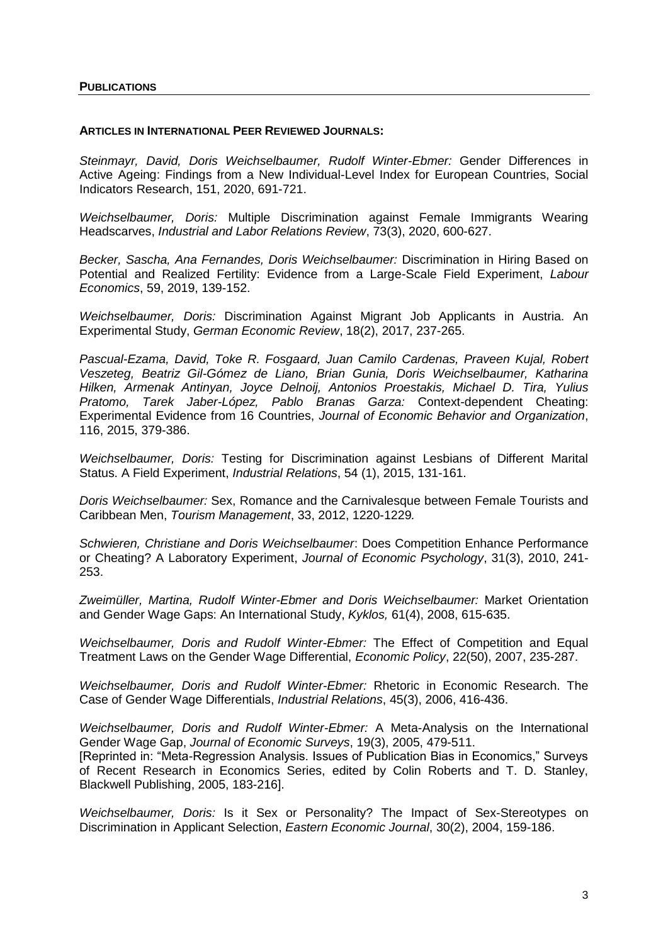#### **ARTICLES IN INTERNATIONAL PEER REVIEWED JOURNALS:**

*Steinmayr, David, Doris Weichselbaumer, Rudolf Winter-Ebmer:* Gender Differences in Active Ageing: Findings from a New Individual-Level Index for European Countries, Social Indicators Research, 151, 2020, 691-721.

*Weichselbaumer, Doris:* Multiple Discrimination against Female Immigrants Wearing Headscarves, *Industrial and Labor Relations Review*, 73(3), 2020, 600-627.

*Becker, Sascha, Ana Fernandes, Doris Weichselbaumer:* Discrimination in Hiring Based on Potential and Realized Fertility: Evidence from a Large-Scale Field Experiment, *Labour Economics*, 59, 2019, 139-152.

*Weichselbaumer, Doris:* Discrimination Against Migrant Job Applicants in Austria. An Experimental Study, *German Economic Review*, 18(2), 2017, 237-265.

*Pascual-Ezama, David, Toke R. Fosgaard, Juan Camilo Cardenas, Praveen Kujal, Robert Veszeteg, Beatriz Gil-Gómez de Liano, Brian Gunia, Doris Weichselbaumer, Katharina Hilken, Armenak Antinyan, Joyce Delnoij, Antonios Proestakis, Michael D. Tira, Yulius Pratomo, Tarek Jaber-López, Pablo Branas Garza:* Context-dependent Cheating: Experimental Evidence from 16 Countries, *Journal of Economic Behavior and Organization*, 116, 2015, 379-386.

*Weichselbaumer, Doris:* Testing for Discrimination against Lesbians of Different Marital Status. A Field Experiment, *Industrial Relations*, 54 (1), 2015, 131-161.

*Doris Weichselbaumer:* Sex, Romance and the Carnivalesque between Female Tourists and Caribbean Men, *Tourism Management*, 33, 2012, 1220-1229*.*

*Schwieren, Christiane and Doris Weichselbaumer*: Does Competition Enhance Performance or Cheating? A Laboratory Experiment, *Journal of Economic Psychology*, 31(3), 2010, 241- 253.

*Zweimüller, Martina, Rudolf Winter-Ebmer and Doris Weichselbaumer:* Market Orientation and Gender Wage Gaps: An International Study, *Kyklos,* 61(4), 2008, 615-635.

*Weichselbaumer, Doris and Rudolf Winter-Ebmer:* The Effect of Competition and Equal Treatment Laws on the Gender Wage Differential, *Economic Policy*, 22(50), 2007, 235-287.

*Weichselbaumer, Doris and Rudolf Winter-Ebmer:* Rhetoric in Economic Research. The Case of Gender Wage Differentials, *Industrial Relations*, 45(3), 2006, 416-436.

*Weichselbaumer, Doris and Rudolf Winter-Ebmer:* A Meta-Analysis on the International Gender Wage Gap, *Journal of Economic Surveys*, 19(3), 2005, 479-511.

[Reprinted in: "Meta-Regression Analysis. Issues of Publication Bias in Economics," Surveys of Recent Research in Economics Series, edited by Colin Roberts and T. D. Stanley, Blackwell Publishing, 2005, 183-216].

*Weichselbaumer, Doris:* Is it Sex or Personality? The Impact of Sex-Stereotypes on Discrimination in Applicant Selection, *Eastern Economic Journal*, 30(2), 2004, 159-186.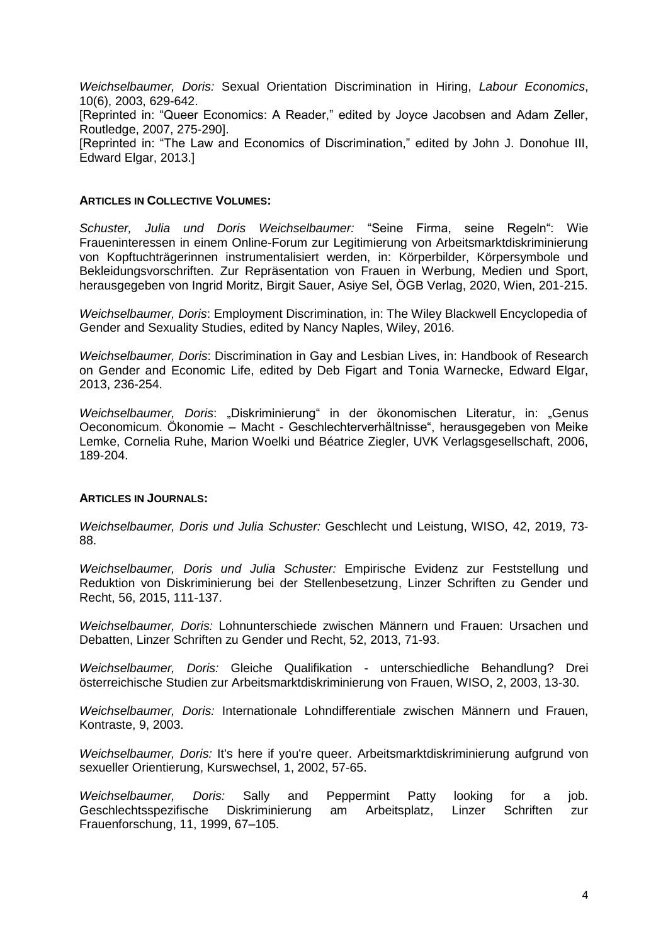*Weichselbaumer, Doris:* Sexual Orientation Discrimination in Hiring, *Labour Economics*, 10(6), 2003, 629-642.

[Reprinted in: "Queer Economics: A Reader," edited by Joyce Jacobsen and Adam Zeller, Routledge, 2007, 275-290].

[Reprinted in: "The Law and Economics of Discrimination," edited by John J. Donohue III, Edward Elgar, 2013.]

#### **ARTICLES IN COLLECTIVE VOLUMES:**

*Schuster, Julia und Doris Weichselbaumer:* "Seine Firma, seine Regeln": Wie Fraueninteressen in einem Online-Forum zur Legitimierung von Arbeitsmarktdiskriminierung von Kopftuchträgerinnen instrumentalisiert werden, in: Körperbilder, Körpersymbole und Bekleidungsvorschriften. Zur Repräsentation von Frauen in Werbung, Medien und Sport, herausgegeben von Ingrid Moritz, Birgit Sauer, Asiye Sel, ÖGB Verlag, 2020, Wien, 201-215.

*Weichselbaumer, Doris*: Employment Discrimination, in: The Wiley Blackwell Encyclopedia of Gender and Sexuality Studies, edited by Nancy Naples, Wiley, 2016.

*Weichselbaumer, Doris*: Discrimination in Gay and Lesbian Lives, in: Handbook of Research on Gender and Economic Life, edited by Deb Figart and Tonia Warnecke, Edward Elgar, 2013, 236-254.

*Weichselbaumer, Doris*: "Diskriminierung" in der ökonomischen Literatur, in: "Genus Oeconomicum. Ökonomie – Macht - Geschlechterverhältnisse", herausgegeben von Meike Lemke, Cornelia Ruhe, Marion Woelki und Béatrice Ziegler, UVK Verlagsgesellschaft, 2006, 189-204.

#### **ARTICLES IN JOURNALS:**

*Weichselbaumer, Doris und Julia Schuster:* Geschlecht und Leistung, WISO, 42, 2019, 73- 88.

*Weichselbaumer, Doris und Julia Schuster:* Empirische Evidenz zur Feststellung und Reduktion von Diskriminierung bei der Stellenbesetzung, Linzer Schriften zu Gender und Recht, 56, 2015, 111-137.

*Weichselbaumer, Doris:* Lohnunterschiede zwischen Männern und Frauen: Ursachen und Debatten, Linzer Schriften zu Gender und Recht, 52, 2013, 71-93.

*Weichselbaumer, Doris:* Gleiche Qualifikation - unterschiedliche Behandlung? Drei österreichische Studien zur Arbeitsmarktdiskriminierung von Frauen, WISO, 2, 2003, 13-30.

*Weichselbaumer, Doris:* Internationale Lohndifferentiale zwischen Männern und Frauen, Kontraste, 9, 2003.

*Weichselbaumer, Doris:* It's here if you're queer. Arbeitsmarktdiskriminierung aufgrund von sexueller Orientierung, Kurswechsel, 1, 2002, 57-65.

*Weichselbaumer, Doris:* Sally and Peppermint Patty looking for a job. Geschlechtsspezifische Diskriminierung am Arbeitsplatz, Linzer Schriften zur Frauenforschung, 11, 1999, 67–105.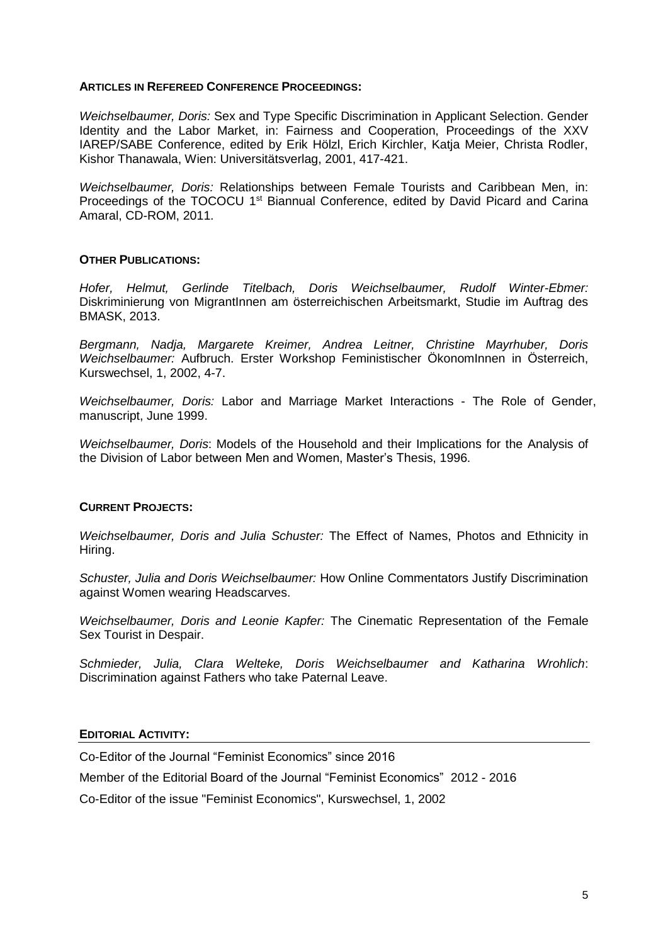## **ARTICLES IN REFEREED CONFERENCE PROCEEDINGS:**

*Weichselbaumer, Doris:* Sex and Type Specific Discrimination in Applicant Selection. Gender Identity and the Labor Market, in: Fairness and Cooperation, Proceedings of the XXV IAREP/SABE Conference, edited by Erik Hölzl, Erich Kirchler, Katja Meier, Christa Rodler, Kishor Thanawala, Wien: Universitätsverlag, 2001, 417-421.

*Weichselbaumer, Doris:* Relationships between Female Tourists and Caribbean Men, in: Proceedings of the TOCOCU 1<sup>st</sup> Biannual Conference, edited by David Picard and Carina Amaral, CD-ROM, 2011.

## **OTHER PUBLICATIONS:**

*Hofer, Helmut, Gerlinde Titelbach, Doris Weichselbaumer, Rudolf Winter-Ebmer:*  Diskriminierung von MigrantInnen am österreichischen Arbeitsmarkt, Studie im Auftrag des BMASK, 2013.

*Bergmann, Nadja, Margarete Kreimer, Andrea Leitner, Christine Mayrhuber, Doris Weichselbaumer:* Aufbruch. Erster Workshop Feministischer ÖkonomInnen in Österreich, Kurswechsel, 1, 2002, 4-7.

*Weichselbaumer, Doris:* Labor and Marriage Market Interactions - The Role of Gender, manuscript, June 1999.

*Weichselbaumer, Doris*: Models of the Household and their Implications for the Analysis of the Division of Labor between Men and Women, Master's Thesis, 1996.

## **CURRENT PROJECTS:**

*Weichselbaumer, Doris and Julia Schuster:* The Effect of Names, Photos and Ethnicity in Hiring.

*Schuster, Julia and Doris Weichselbaumer:* How Online Commentators Justify Discrimination against Women wearing Headscarves.

*Weichselbaumer, Doris and Leonie Kapfer:* The Cinematic Representation of the Female Sex Tourist in Despair.

*Schmieder, Julia, Clara Welteke, Doris Weichselbaumer and Katharina Wrohlich*: Discrimination against Fathers who take Paternal Leave.

#### **EDITORIAL ACTIVITY:**

Co-Editor of the Journal "Feminist Economics" since 2016

Member of the Editorial Board of the Journal "Feminist Economics" 2012 - 2016

Co-Editor of the issue "Feminist Economics", Kurswechsel, 1, 2002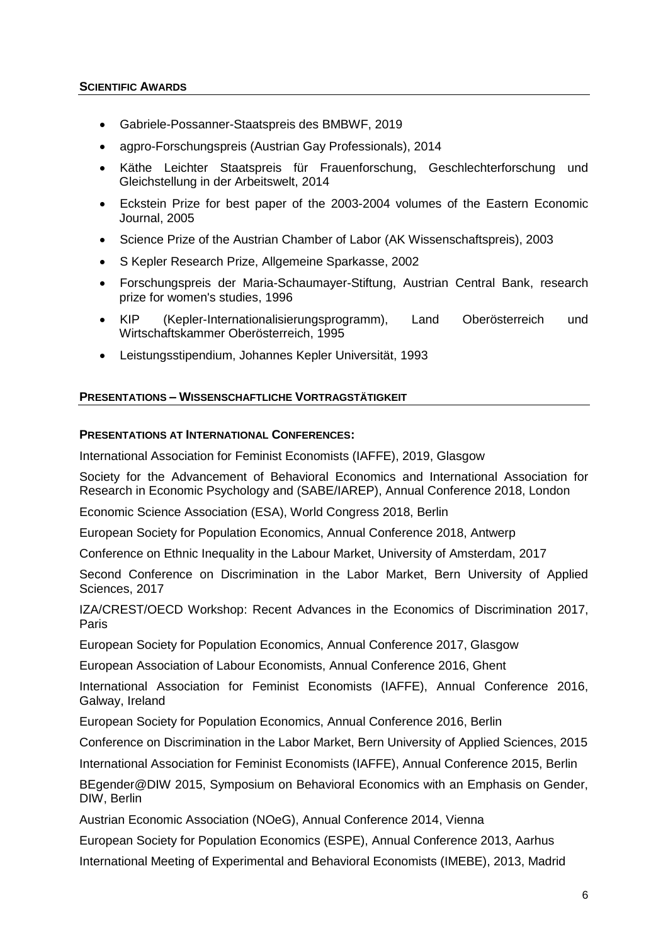- Gabriele-Possanner-Staatspreis des BMBWF, 2019
- agpro-Forschungspreis (Austrian Gay Professionals), 2014
- Käthe Leichter Staatspreis für Frauenforschung, Geschlechterforschung und Gleichstellung in der Arbeitswelt, 2014
- Eckstein Prize for best paper of the 2003-2004 volumes of the Eastern Economic Journal, 2005
- Science Prize of the Austrian Chamber of Labor (AK Wissenschaftspreis), 2003
- S Kepler Research Prize, Allgemeine Sparkasse, 2002
- Forschungspreis der Maria-Schaumayer-Stiftung, Austrian Central Bank, research prize for women's studies, 1996
- KIP (Kepler-Internationalisierungsprogramm), Land Oberösterreich und Wirtschaftskammer Oberösterreich, 1995
- Leistungsstipendium, Johannes Kepler Universität, 1993

# **PRESENTATIONS – WISSENSCHAFTLICHE VORTRAGSTÄTIGKEIT**

# **PRESENTATIONS AT INTERNATIONAL CONFERENCES:**

International Association for Feminist Economists (IAFFE), 2019, Glasgow

Society for the Advancement of Behavioral Economics and International Association for Research in Economic Psychology and (SABE/IAREP), Annual Conference 2018, London

Economic Science Association (ESA), World Congress 2018, Berlin

European Society for Population Economics, Annual Conference 2018, Antwerp

Conference on Ethnic Inequality in the Labour Market, University of Amsterdam, 2017

Second Conference on Discrimination in the Labor Market, Bern University of Applied Sciences, 2017

IZA/CREST/OECD Workshop: Recent Advances in the Economics of Discrimination 2017, Paris

European Society for Population Economics, Annual Conference 2017, Glasgow

European Association of Labour Economists, Annual Conference 2016, Ghent

International Association for Feminist Economists (IAFFE), Annual Conference 2016, Galway, Ireland

European Society for Population Economics, Annual Conference 2016, Berlin

Conference on Discrimination in the Labor Market, Bern University of Applied Sciences, 2015

International Association for Feminist Economists (IAFFE), Annual Conference 2015, Berlin

BEgender@DIW 2015, Symposium on Behavioral Economics with an Emphasis on Gender, DIW, Berlin

Austrian Economic Association (NOeG), Annual Conference 2014, Vienna

European Society for Population Economics (ESPE), Annual Conference 2013, Aarhus

International Meeting of Experimental and Behavioral Economists (IMEBE), 2013, Madrid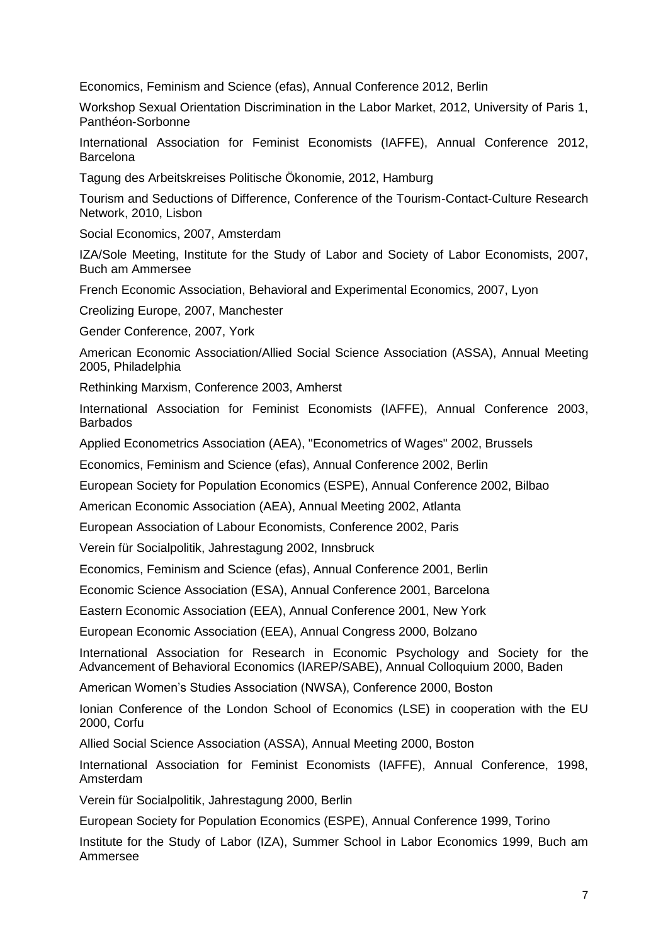Economics, Feminism and Science (efas), Annual Conference 2012, Berlin

Workshop Sexual Orientation Discrimination in the Labor Market, 2012, University of Paris 1, Panthéon-Sorbonne

International Association for Feminist Economists (IAFFE), Annual Conference 2012, **Barcelona** 

Tagung des Arbeitskreises Politische Ökonomie, 2012, Hamburg

Tourism and Seductions of Difference, Conference of the Tourism-Contact-Culture Research Network, 2010, Lisbon

Social Economics, 2007, Amsterdam

IZA/Sole Meeting, Institute for the Study of Labor and Society of Labor Economists, 2007, Buch am Ammersee

French Economic Association, Behavioral and Experimental Economics, 2007, Lyon

Creolizing Europe, 2007, Manchester

Gender Conference, 2007, York

American Economic Association/Allied Social Science Association (ASSA), Annual Meeting 2005, Philadelphia

Rethinking Marxism, Conference 2003, Amherst

International Association for Feminist Economists (IAFFE), Annual Conference 2003, **Barbados** 

Applied Econometrics Association (AEA), "Econometrics of Wages" 2002, Brussels

Economics, Feminism and Science (efas), Annual Conference 2002, Berlin

European Society for Population Economics (ESPE), Annual Conference 2002, Bilbao

American Economic Association (AEA), Annual Meeting 2002, Atlanta

European Association of Labour Economists, Conference 2002, Paris

Verein für Socialpolitik, Jahrestagung 2002, Innsbruck

Economics, Feminism and Science (efas), Annual Conference 2001, Berlin

Economic Science Association (ESA), Annual Conference 2001, Barcelona

Eastern Economic Association (EEA), Annual Conference 2001, New York

European Economic Association (EEA), Annual Congress 2000, Bolzano

International Association for Research in Economic Psychology and Society for the Advancement of Behavioral Economics (IAREP/SABE), Annual Colloquium 2000, Baden

American Women's Studies Association (NWSA), Conference 2000, Boston

Ionian Conference of the London School of Economics (LSE) in cooperation with the EU 2000, Corfu

Allied Social Science Association (ASSA), Annual Meeting 2000, Boston

International Association for Feminist Economists (IAFFE), Annual Conference, 1998, Amsterdam

Verein für Socialpolitik, Jahrestagung 2000, Berlin

European Society for Population Economics (ESPE), Annual Conference 1999, Torino

Institute for the Study of Labor (IZA), Summer School in Labor Economics 1999, Buch am Ammersee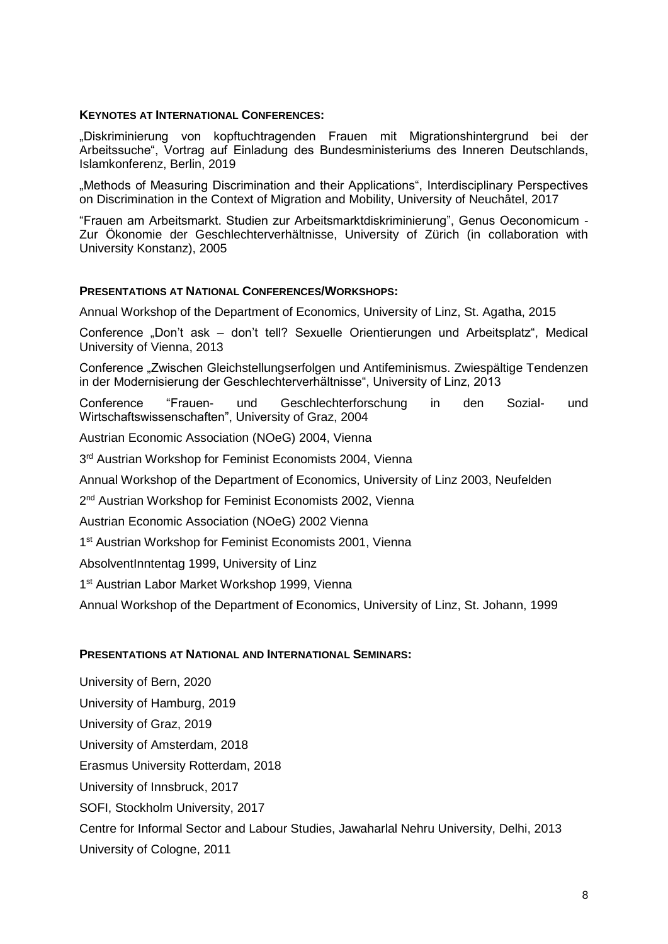## **KEYNOTES AT INTERNATIONAL CONFERENCES:**

"Diskriminierung von kopftuchtragenden Frauen mit Migrationshintergrund bei der Arbeitssuche", Vortrag auf Einladung des Bundesministeriums des Inneren Deutschlands, Islamkonferenz, Berlin, 2019

"Methods of Measuring Discrimination and their Applications", Interdisciplinary Perspectives on Discrimination in the Context of Migration and Mobility, University of Neuchâtel, 2017

"Frauen am Arbeitsmarkt. Studien zur Arbeitsmarktdiskriminierung", Genus Oeconomicum - Zur Ökonomie der Geschlechterverhältnisse, University of Zürich (in collaboration with University Konstanz), 2005

## **PRESENTATIONS AT NATIONAL CONFERENCES/WORKSHOPS:**

Annual Workshop of the Department of Economics, University of Linz, St. Agatha, 2015

Conference "Don't ask - don't tell? Sexuelle Orientierungen und Arbeitsplatz", Medical University of Vienna, 2013

Conference "Zwischen Gleichstellungserfolgen und Antifeminismus. Zwiespältige Tendenzen in der Modernisierung der Geschlechterverhältnisse", University of Linz, 2013

Conference "Frauen- und Geschlechterforschung in den Sozial- und Wirtschaftswissenschaften", University of Graz, 2004

Austrian Economic Association (NOeG) 2004, Vienna

3<sup>rd</sup> Austrian Workshop for Feminist Economists 2004, Vienna

Annual Workshop of the Department of Economics, University of Linz 2003, Neufelden

2<sup>nd</sup> Austrian Workshop for Feminist Economists 2002, Vienna

Austrian Economic Association (NOeG) 2002 Vienna

1<sup>st</sup> Austrian Workshop for Feminist Economists 2001, Vienna

AbsolventInntentag 1999, University of Linz

1<sup>st</sup> Austrian Labor Market Workshop 1999, Vienna

Annual Workshop of the Department of Economics, University of Linz, St. Johann, 1999

#### **PRESENTATIONS AT NATIONAL AND INTERNATIONAL SEMINARS:**

University of Bern, 2020 University of Hamburg, 2019 University of Graz, 2019 University of Amsterdam, 2018 Erasmus University Rotterdam, 2018 University of Innsbruck, 2017 SOFI, Stockholm University, 2017 Centre for Informal Sector and Labour Studies, Jawaharlal Nehru University, Delhi, 2013 University of Cologne, 2011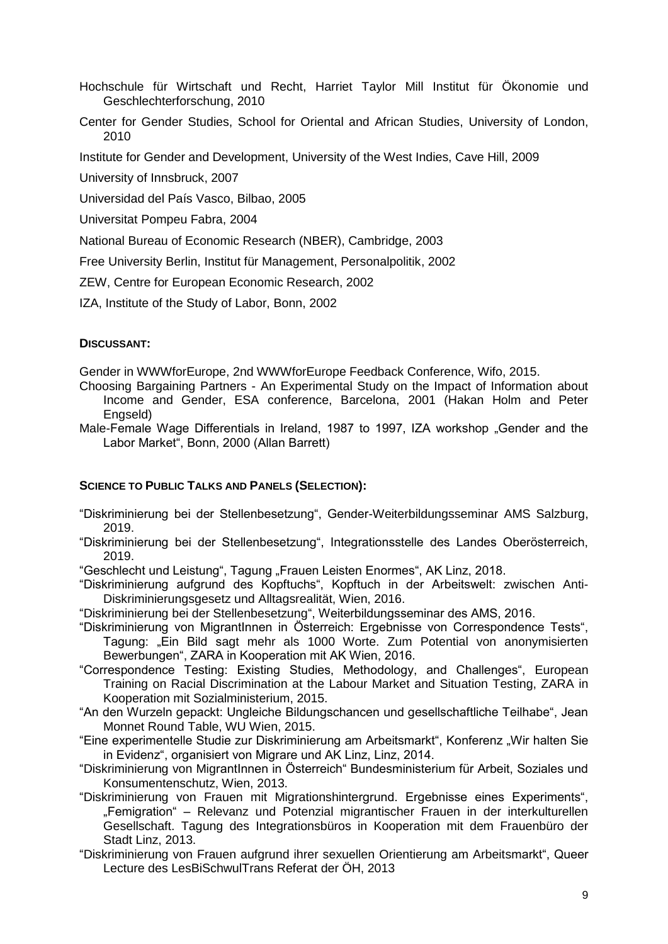Hochschule für Wirtschaft und Recht, Harriet Taylor Mill Institut für Ökonomie und Geschlechterforschung, 2010

Center for Gender Studies, School for Oriental and African Studies, University of London, 2010

Institute for Gender and Development, University of the West Indies, Cave Hill, 2009

University of Innsbruck, 2007

Universidad del País Vasco, Bilbao, 2005

Universitat Pompeu Fabra, 2004

National Bureau of Economic Research (NBER), Cambridge, 2003

Free University Berlin, Institut für Management, Personalpolitik, 2002

ZEW, Centre for European Economic Research, 2002

IZA, Institute of the Study of Labor, Bonn, 2002

## **DISCUSSANT:**

Gender in WWWforEurope, 2nd WWWforEurope Feedback Conference, Wifo, 2015.

- Choosing Bargaining Partners An Experimental Study on the Impact of Information about Income and Gender, ESA conference, Barcelona, 2001 (Hakan Holm and Peter Engseld)
- Male-Female Wage Differentials in Ireland, 1987 to 1997, IZA workshop "Gender and the Labor Market", Bonn, 2000 (Allan Barrett)

# **SCIENCE TO PUBLIC TALKS AND PANELS (SELECTION):**

- "Diskriminierung bei der Stellenbesetzung", Gender-Weiterbildungsseminar AMS Salzburg, 2019.
- "Diskriminierung bei der Stellenbesetzung", Integrationsstelle des Landes Oberösterreich, 2019.
- "Geschlecht und Leistung", Tagung "Frauen Leisten Enormes", AK Linz, 2018.
- "Diskriminierung aufgrund des Kopftuchs", Kopftuch in der Arbeitswelt: zwischen Anti-Diskriminierungsgesetz und Alltagsrealität, Wien, 2016.
- "Diskriminierung bei der Stellenbesetzung", Weiterbildungsseminar des AMS, 2016.
- "Diskriminierung von MigrantInnen in Österreich: Ergebnisse von Correspondence Tests", Tagung: "Ein Bild sagt mehr als 1000 Worte. Zum Potential von anonymisierten Bewerbungen", ZARA in Kooperation mit AK Wien, 2016.
- "Correspondence Testing: Existing Studies, Methodology, and Challenges", European Training on Racial Discrimination at the Labour Market and Situation Testing, ZARA in Kooperation mit Sozialministerium, 2015.
- "An den Wurzeln gepackt: Ungleiche Bildungschancen und gesellschaftliche Teilhabe", Jean Monnet Round Table, WU Wien, 2015.
- "Eine experimentelle Studie zur Diskriminierung am Arbeitsmarkt", Konferenz "Wir halten Sie in Evidenz", organisiert von Migrare und AK Linz, Linz, 2014.
- "Diskriminierung von MigrantInnen in Österreich" Bundesministerium für Arbeit, Soziales und Konsumentenschutz, Wien, 2013.
- "Diskriminierung von Frauen mit Migrationshintergrund. Ergebnisse eines Experiments", "Femigration" – Relevanz und Potenzial migrantischer Frauen in der interkulturellen Gesellschaft. Tagung des Integrationsbüros in Kooperation mit dem Frauenbüro der Stadt Linz, 2013.
- "Diskriminierung von Frauen aufgrund ihrer sexuellen Orientierung am Arbeitsmarkt", Queer Lecture des LesBiSchwulTrans Referat der ÖH, 2013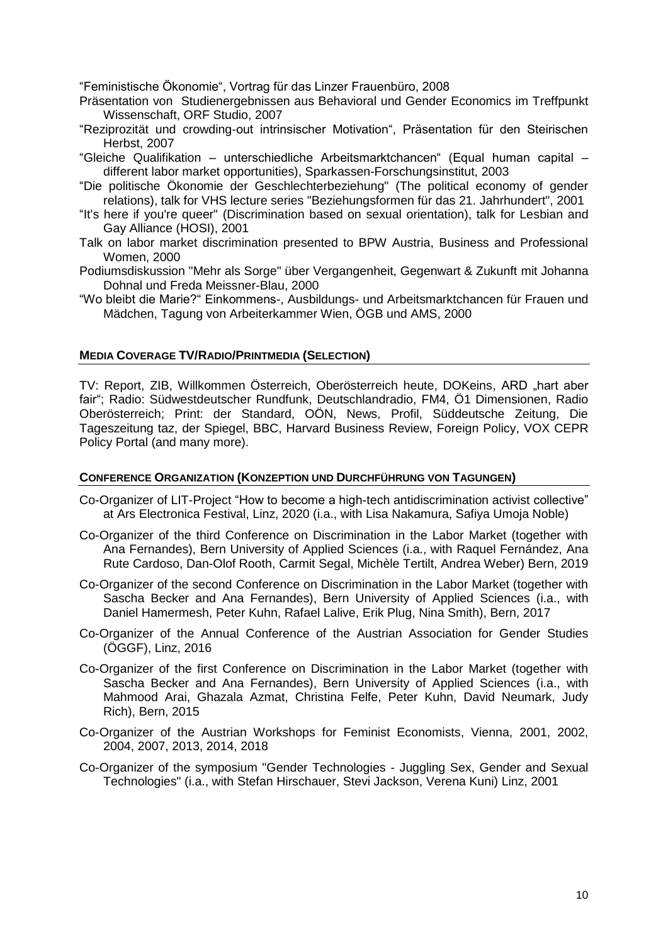"Feministische Ökonomie", Vortrag für das Linzer Frauenbüro, 2008

- Präsentation von Studienergebnissen aus Behavioral und Gender Economics im Treffpunkt Wissenschaft, ORF Studio, 2007
- "Reziprozität und crowding-out intrinsischer Motivation", Präsentation für den Steirischen Herbst, 2007
- "Gleiche Qualifikation unterschiedliche Arbeitsmarktchancen" (Equal human capital different labor market opportunities), Sparkassen-Forschungsinstitut, 2003
- "Die politische Ökonomie der Geschlechterbeziehung" (The political economy of gender relations), talk for VHS lecture series "Beziehungsformen für das 21. Jahrhundert", 2001
- "It's here if you're queer" (Discrimination based on sexual orientation), talk for Lesbian and Gay Alliance (HOSI), 2001
- Talk on labor market discrimination presented to BPW Austria, Business and Professional Women, 2000
- Podiumsdiskussion "Mehr als Sorge" über Vergangenheit, Gegenwart & Zukunft mit Johanna Dohnal und Freda Meissner-Blau, 2000
- "Wo bleibt die Marie?" Einkommens-, Ausbildungs- und Arbeitsmarktchancen für Frauen und Mädchen, Tagung von Arbeiterkammer Wien, ÖGB und AMS, 2000

#### **MEDIA COVERAGE TV/RADIO/PRINTMEDIA (SELECTION)**

TV: Report, ZIB, Willkommen Österreich, Oberösterreich heute, DOKeins, ARD "hart aber fair"; Radio: Südwestdeutscher Rundfunk, Deutschlandradio, FM4, Ö1 Dimensionen, Radio Oberösterreich; Print: der Standard, OÖN, News, Profil, Süddeutsche Zeitung, Die Tageszeitung taz, der Spiegel, BBC, Harvard Business Review, Foreign Policy, VOX CEPR Policy Portal (and many more).

#### **CONFERENCE ORGANIZATION (KONZEPTION UND DURCHFÜHRUNG VON TAGUNGEN)**

- Co-Organizer of LIT-Project "How to become a high-tech antidiscrimination activist collective" at Ars Electronica Festival, Linz, 2020 (i.a., with Lisa Nakamura, Safiya Umoja Noble)
- Co-Organizer of the third Conference on Discrimination in the Labor Market (together with Ana Fernandes), Bern University of Applied Sciences (i.a., with Raquel Fernández, Ana Rute Cardoso, Dan-Olof Rooth, Carmit Segal, Michèle Tertilt, Andrea Weber) Bern, 2019
- Co-Organizer of the second Conference on Discrimination in the Labor Market (together with Sascha Becker and Ana Fernandes), Bern University of Applied Sciences (i.a., with Daniel Hamermesh, Peter Kuhn, Rafael Lalive, Erik Plug, Nina Smith), Bern, 2017
- Co-Organizer of the Annual Conference of the Austrian Association for Gender Studies (ÖGGF), Linz, 2016
- Co-Organizer of the first Conference on Discrimination in the Labor Market (together with Sascha Becker and Ana Fernandes), Bern University of Applied Sciences (i.a., with Mahmood Arai, Ghazala Azmat, Christina Felfe, Peter Kuhn, David Neumark, Judy Rich), Bern, 2015
- Co-Organizer of the Austrian Workshops for Feminist Economists, Vienna, 2001, 2002, 2004, 2007, 2013, 2014, 2018
- Co-Organizer of the symposium "Gender Technologies Juggling Sex, Gender and Sexual Technologies" (i.a., with Stefan Hirschauer, Stevi Jackson, Verena Kuni) Linz, 2001